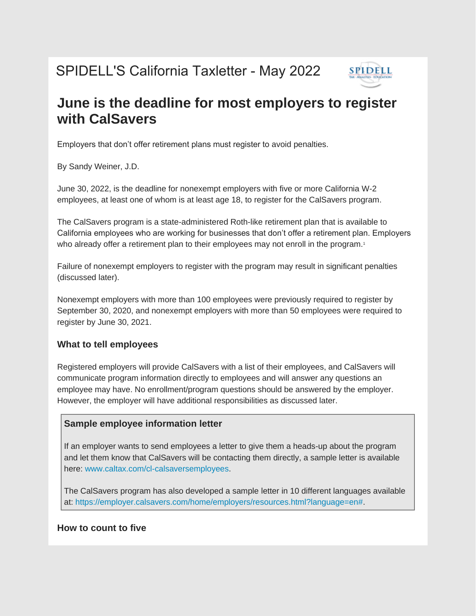# SPIDELL'S California Taxletter - May 2022



# **June is the deadline for most employers to register with CalSavers**

Employers that don't offer retirement plans must register to avoid penalties.

By Sandy Weiner, J.D.

June 30, 2022, is the deadline for nonexempt employers with five or more California W-2 employees, at least one of whom is at least age 18, to register for the CalSavers program.

The CalSavers program is a state-administered Roth-like retirement plan that is available to California employees who are working for businesses that don't offer a retirement plan. Employers who already offer a retirement plan to their employees may not enroll in the program.<sup>1</sup>

Failure of nonexempt employers to register with the program may result in significant penalties (discussed later).

Nonexempt employers with more than 100 employees were previously required to register by September 30, 2020, and nonexempt employers with more than 50 employees were required to register by June 30, 2021.

#### **What to tell employees**

Registered employers will provide CalSavers with a list of their employees, and CalSavers will communicate program information directly to employees and will answer any questions an employee may have. No enrollment/program questions should be answered by the employer. However, the employer will have additional responsibilities as discussed later.

#### **Sample employee information letter**

If an employer wants to send employees a letter to give them a heads-up about the program and let them know that CalSavers will be contacting them directly, a sample letter is available here: [www.caltax.com/cl-calsaversemployees.](https://u9016664.ct.sendgrid.net/ls/click?upn=YOylDzybviPMpMkaBXu8arkT84V3oC7V13p9jRs34YCsGz-2Bd1rvk4wKfSK7eGbg5R5DhICY9KzR7JXy7Wt3KfQ-3D-3DiCH4_hAeP-2BDNQRmCDiuoPhoRw1I1JPtxQfz9obQNKYHSpHVnJCwlSqfg97nRjwcBNHcXN5SQzcs1wYrTS-2Fb3zprk9m-2BT6BZ1NCqbZMM7JtPoxIZQCljqYFkZDt-2FB8n1gRBsaLFI3wc1hFT8DN7I9rDDLUj7XLQdSnOHj5D6vRPK1GFidRcxE1wemaAg6YFpdvaiMr5L1U1-2FPx-2Bsvaflr-2BBbGX-2BmxCZ-2B7z7aoVnIdoFEcNJ7H5FUFcMla8-2F-2F6a92Ey4Aw9-2Ba3U8LYH-2BwwRCEnzd8geeordt-2BqAE0YibulbhxnUK5xhuohGRu-2FpjQO3CEV6j2qJ2ha3sUYr0V5y9JuCn3NVDxYvi-2F6FuLfuc5j6keCJLNlUMAsTa6wv1Qekr0xVF6GdAqt2El8BG6rfR9Q-2BPUJFseiwL1XP98G7d-2BieoMWgtGk0WSI1qVH5EwRiDRYSHT7piK9o5kXAbSj4W0J-2BSlVFyD-2BEKwJFCS416E8lVUGuhdcU159QxJngjuEEowTm3J637tAKN6vo4siBin4lOxuTTUFxHqD0LZ18-2Bimu0-2FVKY4oApJW4WbzdFVGoQ2X-2BPLSIgtKeisp8D363J4BBKOLa9yLos6mm-2F3xE0l9ZREarIk1Pu9zM-2Fw7V81wuWXW78eehfzbGim0B8eP0cV6GAIsMJvwMyZpbhAhR9IyxxCXQM-2FVoqK2Qd945AL-2FfE75D0wEDHccHg6-2BVxCYr1AqI5H70ju2TCsUuckWNiMvtOWbGheAedoRW0RohkY5hvRGvjRl0x-2F-2BX-2FfXPamLTZ9EDm8v-2FgsKnPORo9gcTJIId1PCKK0iWMKSY-2BgjgO4ezZEC-2BWSTbvX2WMYmrYAo3UbSMYtGVvOEGcFvZ1vO-2FCFEsRCBOXlEbqxCEgtKUQFWIBFaLDuWRYJYzf2KJOsoaJxXDcjg39VvuTh9t1Hf-2F759qg4gUBpJ00tUQ8g9s5LvztdK3Uwj3ItZL0oL0-2BDH1p06z66dJm4ayhRJZwOF-2Fw7HURGvBWvQ-3D)

The CalSavers program has also developed a sample letter in 10 different languages available at: [https://employer.calsavers.com/home/employers/resources.html?language=en#.](https://u9016664.ct.sendgrid.net/ls/click?upn=eN-2FKaq-2Fz9L3FMNrUnmgyPiYCxS7JcOF0DTdBA517rbdECxwOonrXsJEC6A7DChPgG9kj6jvTclKm8UTgXtiGY-2B5s-2BWGt2lwc5E1caL088poGhmWQCo1gjXap5P-2Bngcjb_JvX_hAeP-2BDNQRmCDiuoPhoRw1I1JPtxQfz9obQNKYHSpHVnJCwlSqfg97nRjwcBNHcXN5SQzcs1wYrTS-2Fb3zprk9m-2BT6BZ1NCqbZMM7JtPoxIZQCljqYFkZDt-2FB8n1gRBsaLFI3wc1hFT8DN7I9rDDLUj7XLQdSnOHj5D6vRPK1GFidRcxE1wemaAg6YFpdvaiMr5L1U1-2FPx-2Bsvaflr-2BBbGX-2BmxCZ-2B7z7aoVnIdoFEcNJ7H5FUFcMla8-2F-2F6a92Ey4Aw9-2Ba3U8LYH-2BwwRCEnzd8geeordt-2BqAE0YibulbhxnUK5xhuohGRu-2FpjQO3CEV6j2qJ2ha3sUYr0V5y9JuCn3NVDxYvi-2F6FuLfuc5j6keCJLNlUMAsTa6wv1Qekr0xVF6GdAqt2El8BG6rfR9Q-2BPUJFseiwL1XP98G7d-2BieoMWgtGk0WSI1qVH5EwRiDRYSHT7piK9o5kXAbSj4W0J-2BSlVFyD-2BEKwJFCS416E8lVUGuhdcU159QxJngjuEEowTm3J637tAKN6vo4siBin4lOxuTTUFxHqD0LZ18-2Bimu0-2FVKY4oApJW4WbzdFVGoQ2X-2BPLSIgtKeisp8D363J4BBKOLa9yLos6mm-2F3xE0l9ZREarIk1Pu9zM-2Fw7V81wuWXW78eehfzbGim0B8eP0cV6GAIsMJvwMyZpbhAhR9IyxxCXQM-2FVoqK2Qd945AL-2FfE75D0wEDHccHg6-2BVxCYr1AqI5H70ju2TCsUuckWNiMvtOWbGheAedoRW0RohkY5hvRGvjRl0x-2F-2BX-2FfXPamLTZ9EDm8v-2FgsKnPORo9gcTJIId1PCKK0iWMKSY-2BgjgO4ezZEC-2BWSTbAvlTpgETwsbJqoYV-2Bc6E5-2FHPO7TZAHFw4Qd-2BIg7dNGcpWVbiRKw2P4W7Y7dwCxD3f0SfwfDdnFrO-2FnNkvynHeYjaZlNpQBr7FzIwJ-2BUx5DY3iZkEqRkUJf1FzUDw0dKZSfF0tOK8Y5YeJxR43HP2QAjqlDMhyMdBdYm4exISHEk-3D)

# **How to count to five**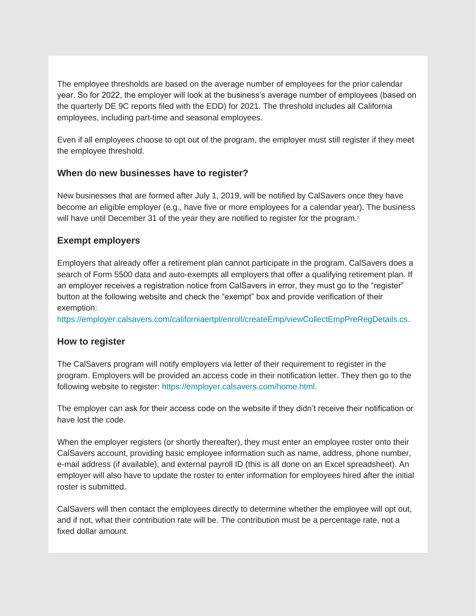The employee thresholds are based on the average number of employees for the prior calendar year. So for 2022, the employer will look at the business's average number of employees (based on the quarterly DE 9C reports filed with the EDD) for 2021. The threshold includes all California employees, including part-time and seasonal employees.

Even if all employees choose to opt out of the program, the employer must still register if they meet the employee threshold.

#### **When do new businesses have to register?**

New businesses that are formed after July 1, 2019, will be notified by CalSavers once they have become an eligible employer (e.g., have five or more employees for a calendar year). The business will have until December 31 of the year they are notified to register for the program.<sup>2</sup>

#### **Exempt employers**

Employers that already offer a retirement plan cannot participate in the program. CalSavers does a search of Form 5500 data and auto-exempts all employers that offer a qualifying retirement plan. If an employer receives a registration notice from CalSavers in error, they must go to the "register" button at the following website and check the "exempt" box and provide verification of their exemption:

[https://employer.calsavers.com/californiaertpl/enroll/createEmp/viewCollectEmpPreRegDetails.cs.](https://u9016664.ct.sendgrid.net/ls/click?upn=eN-2FKaq-2Fz9L3FMNrUnmgyPiYCxS7JcOF0DTdBA517rbcGH3JBDGFH7rPg7ngunOoyH1DeRw32G1LnsMbi4bYWcr-2F8HJgH8-2BROb8jYOtsUXGuP0GRh-2FW898MzJpAnTNrmXy4xTW-2BiDCuYqf25qy0zAQw-3D-3DrkQ0_hAeP-2BDNQRmCDiuoPhoRw1I1JPtxQfz9obQNKYHSpHVnJCwlSqfg97nRjwcBNHcXN5SQzcs1wYrTS-2Fb3zprk9m-2BT6BZ1NCqbZMM7JtPoxIZQCljqYFkZDt-2FB8n1gRBsaLFI3wc1hFT8DN7I9rDDLUj7XLQdSnOHj5D6vRPK1GFidRcxE1wemaAg6YFpdvaiMr5L1U1-2FPx-2Bsvaflr-2BBbGX-2BmxCZ-2B7z7aoVnIdoFEcNJ7H5FUFcMla8-2F-2F6a92Ey4Aw9-2Ba3U8LYH-2BwwRCEnzd8geeordt-2BqAE0YibulbhxnUK5xhuohGRu-2FpjQO3CEV6j2qJ2ha3sUYr0V5y9JuCn3NVDxYvi-2F6FuLfuc5j6keCJLNlUMAsTa6wv1Qekr0xVF6GdAqt2El8BG6rfR9Q-2BPUJFseiwL1XP98G7d-2BieoMWgtGk0WSI1qVH5EwRiDRYSHT7piK9o5kXAbSj4W0J-2BSlVFyD-2BEKwJFCS416E8lVUGuhdcU159QxJngjuEEowTm3J637tAKN6vo4siBin4lOxuTTUFxHqD0LZ18-2Bimu0-2FVKY4oApJW4WbzdFVGoQ2X-2BPLSIgtKeisp8D363J4BBKOLa9yLos6mm-2F3xE0l9ZREarIk1Pu9zM-2Fw7V81wuWXW78eehfzbGim0B8eP0cV6GAIsMJvwMyZpbhAhR9IyxxCXQM-2FVoqK2Qd945AL-2FfE75D0wEDHccHg6-2BVxCYr1AqI5H70ju2TCsUuckWNiMvtOWbGheAedoRW0RohkY5hvRGvjRl0x-2F-2BX-2FfXPamLTZ9EDm8v-2FgsKnPORo9gcTJIId1PCKK0iWMKSY-2BgjgO4ezZEC-2BWSTbTJAXXIZhTCemRMaVorzjpLQmqlE3694qvsTF5FJ42kIDmIUXAo8k8fTU3Z-2F3t-2FxOFeT9ZQFYjAZSW485R-2F4ZUuFEVgON9jGjQqctVXgxMSJkKzUrMPHLYagDpZde60NG-2Bvn6BIGLS-2BGOK98RqBJxGYdzKmDyqhqSF3rXdliRa18-3D)

#### **How to register**

The CalSavers program will notify employers via letter of their requirement to register in the program. Employers will be provided an access code in their notification letter. They then go to the following website to register: [https://employer.calsavers.com/home.html.](https://u9016664.ct.sendgrid.net/ls/click?upn=eN-2FKaq-2Fz9L3FMNrUnmgyPiYCxS7JcOF0DTdBA517rbdW1DHXrwUOtJZi2kkjaf6-2FYcvfIN3UDX-2F3ypqIqa4n6Q-3D-3Dym8i_hAeP-2BDNQRmCDiuoPhoRw1I1JPtxQfz9obQNKYHSpHVnJCwlSqfg97nRjwcBNHcXN5SQzcs1wYrTS-2Fb3zprk9m-2BT6BZ1NCqbZMM7JtPoxIZQCljqYFkZDt-2FB8n1gRBsaLFI3wc1hFT8DN7I9rDDLUj7XLQdSnOHj5D6vRPK1GFidRcxE1wemaAg6YFpdvaiMr5L1U1-2FPx-2Bsvaflr-2BBbGX-2BmxCZ-2B7z7aoVnIdoFEcNJ7H5FUFcMla8-2F-2F6a92Ey4Aw9-2Ba3U8LYH-2BwwRCEnzd8geeordt-2BqAE0YibulbhxnUK5xhuohGRu-2FpjQO3CEV6j2qJ2ha3sUYr0V5y9JuCn3NVDxYvi-2F6FuLfuc5j6keCJLNlUMAsTa6wv1Qekr0xVF6GdAqt2El8BG6rfR9Q-2BPUJFseiwL1XP98G7d-2BieoMWgtGk0WSI1qVH5EwRiDRYSHT7piK9o5kXAbSj4W0J-2BSlVFyD-2BEKwJFCS416E8lVUGuhdcU159QxJngjuEEowTm3J637tAKN6vo4siBin4lOxuTTUFxHqD0LZ18-2Bimu0-2FVKY4oApJW4WbzdFVGoQ2X-2BPLSIgtKeisp8D363J4BBKOLa9yLos6mm-2F3xE0l9ZREarIk1Pu9zM-2Fw7V81wuWXW78eehfzbGim0B8eP0cV6GAIsMJvwMyZpbhAhR9IyxxCXQM-2FVoqK2Qd945AL-2FfE75D0wEDHccHg6-2BVxCYr1AqI5H70ju2TCsUuckWNiMvtOWbGheAedoRW0RohkY5hvRGvjRl0x-2F-2BX-2FfXPamLTZ9EDm8v-2FgsKnPORo9gcTJIId1PCKK0iWMKSY-2BgjgO4ezZEC-2BWSTbA1NtBWg8FtpyW9OB0jb-2B4lZejNHA8J3eNXLabxaHakALyzBsbweheZuppEcf7ga54ms66xmjHUwiDtsPbAsfiOnNyJHQkkjmXwnTZ2xXdKjvtmsx7QC2vcGcfcQuy-2FV3bzEoMiu5YK1o0nYCwC6HQfytcBWY2Lz6BgFdzVDDNE8-3D) 

The employer can ask for their access code on the website if they didn't receive their notification or have lost the code.

When the employer registers (or shortly thereafter), they must enter an employee roster onto their CalSavers account, providing basic employee information such as name, address, phone number, e-mail address (if available), and external payroll ID (this is all done on an Excel spreadsheet). An employer will also have to update the roster to enter information for employees hired after the initial roster is submitted.

CalSavers will then contact the employees directly to determine whether the employee will opt out, and if not, what their contribution rate will be. The contribution must be a percentage rate, not a fixed dollar amount.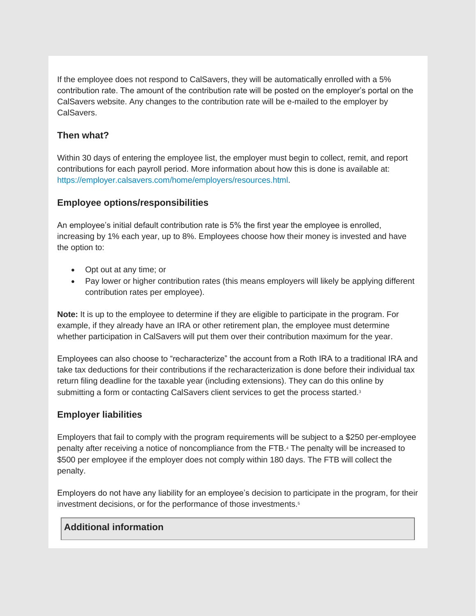If the employee does not respond to CalSavers, they will be automatically enrolled with a 5% contribution rate. The amount of the contribution rate will be posted on the employer's portal on the CalSavers website. Any changes to the contribution rate will be e-mailed to the employer by CalSavers.

# **Then what?**

Within 30 days of entering the employee list, the employer must begin to collect, remit, and report contributions for each payroll period. More information about how this is done is available at: [https://employer.calsavers.com/home/employers/resources.html.](https://u9016664.ct.sendgrid.net/ls/click?upn=eN-2FKaq-2Fz9L3FMNrUnmgyPiYCxS7JcOF0DTdBA517rbdECxwOonrXsJEC6A7DChPgG9kj6jvTclKm8UTgXtiGYyY410AQod-2F3j7wJMT2CSpU-3D4_FJ_hAeP-2BDNQRmCDiuoPhoRw1I1JPtxQfz9obQNKYHSpHVnJCwlSqfg97nRjwcBNHcXN5SQzcs1wYrTS-2Fb3zprk9m-2BT6BZ1NCqbZMM7JtPoxIZQCljqYFkZDt-2FB8n1gRBsaLFI3wc1hFT8DN7I9rDDLUj7XLQdSnOHj5D6vRPK1GFidRcxE1wemaAg6YFpdvaiMr5L1U1-2FPx-2Bsvaflr-2BBbGX-2BmxCZ-2B7z7aoVnIdoFEcNJ7H5FUFcMla8-2F-2F6a92Ey4Aw9-2Ba3U8LYH-2BwwRCEnzd8geeordt-2BqAE0YibulbhxnUK5xhuohGRu-2FpjQO3CEV6j2qJ2ha3sUYr0V5y9JuCn3NVDxYvi-2F6FuLfuc5j6keCJLNlUMAsTa6wv1Qekr0xVF6GdAqt2El8BG6rfR9Q-2BPUJFseiwL1XP98G7d-2BieoMWgtGk0WSI1qVH5EwRiDRYSHT7piK9o5kXAbSj4W0J-2BSlVFyD-2BEKwJFCS416E8lVUGuhdcU159QxJngjuEEowTm3J637tAKN6vo4siBin4lOxuTTUFxHqD0LZ18-2Bimu0-2FVKY4oApJW4WbzdFVGoQ2X-2BPLSIgtKeisp8D363J4BBKOLa9yLos6mm-2F3xE0l9ZREarIk1Pu9zM-2Fw7V81wuWXW78eehfzbGim0B8eP0cV6GAIsMJvwMyZpbhAhR9IyxxCXQM-2FVoqK2Qd945AL-2FfE75D0wEDHccHg6-2BVxCYr1AqI5H70ju2TCsUuckWNiMvtOWbGheAedoRW0RohkY5hvRGvjRl0x-2F-2BX-2FfXPamLTZ9EDm8v-2FgsKnPORo9gcTJIId1PCKK0iWMKSY-2BgjgO4ezZEC-2BWSTbXzMZpbBhsbV8RVQ3pSUc5U8Jz0FAbd4NuS9mtQwy-2FbGa-2BaZABmbr59L7-2FPynYZMeYKss1IVQHb-2BjtH2mOmZslXoiZJhpB8DSXdrU6fPYGnvXdzb8OxIFsIP96aMhiCwsaEH-2FFwEfeVZyurjsM-2FIeoLo7-2Bc9p5rLIsqjDkBE8JP0-3D)

### **Employee options/responsibilities**

An employee's initial default contribution rate is 5% the first year the employee is enrolled, increasing by 1% each year, up to 8%. Employees choose how their money is invested and have the option to:

- Opt out at any time; or
- Pay lower or higher contribution rates (this means employers will likely be applying different contribution rates per employee).

**Note:** It is up to the employee to determine if they are eligible to participate in the program. For example, if they already have an IRA or other retirement plan, the employee must determine whether participation in CalSavers will put them over their contribution maximum for the year.

Employees can also choose to "recharacterize" the account from a Roth IRA to a traditional IRA and take tax deductions for their contributions if the recharacterization is done before their individual tax return filing deadline for the taxable year (including extensions). They can do this online by submitting a form or contacting CalSavers client services to get the process started.<sup>3</sup>

# **Employer liabilities**

Employers that fail to comply with the program requirements will be subject to a \$250 per-employee penalty after receiving a notice of noncompliance from the FTB.<sup>4</sup> The penalty will be increased to \$500 per employee if the employer does not comply within 180 days. The FTB will collect the penalty.

Employers do not have any liability for an employee's decision to participate in the program, for their investment decisions, or for the performance of those investments.<sup>5</sup>

#### **Additional information**